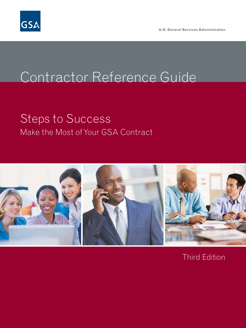

**U.S. General Services Administration**

# Contractor Reference Guide

# Make the Most of Your GSA Contract Steps to Success



Third Edition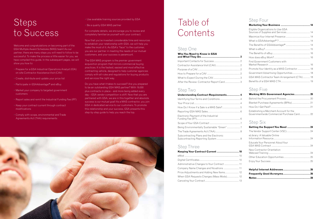### Step One

| Understanding Contract Requirements 4      |  |
|--------------------------------------------|--|
| Identifying Your Terms and Conditions 4    |  |
|                                            |  |
|                                            |  |
|                                            |  |
| Electronic Payment of the Industrial       |  |
|                                            |  |
| Being Environmentally Sustainable "Green"7 |  |
|                                            |  |
| Subcontracting Plans and the Electronic    |  |

| Who You Need to Know in GSA               |  |
|-------------------------------------------|--|
|                                           |  |
|                                           |  |
|                                           |  |
|                                           |  |
|                                           |  |
| After the Review: Contractor Report Card3 |  |

### Step Two

### Step Three

| <b>Keeping Your Contract Current </b>   |
|-----------------------------------------|
|                                         |
|                                         |
| Administrative Changes to Your Contract |
| Company Name Changes and Novations      |
| Price Adjustments and Adding New Items  |
| When GSA Requests Changes (Mass Mods).  |
| Canceling Your Contract                 |
|                                         |

**Keeping Your Contract Current ...........................10** eMod ............................................................................... 10 Digital Certificates ......................................................... 10 Administrative Changes to Your Contract ..................... 11 Company Name Changes and Novations ...................... 11 Price Adjustments and Adding New Items.................... 12 When GSA Requests Changes (Mass Mods)................. 12 Canceling Your Contract................................................. 13

### Step Four

| Eligible Organizations to Use GSA             |  |
|-----------------------------------------------|--|
|                                               |  |
|                                               |  |
|                                               |  |
|                                               |  |
|                                               |  |
|                                               |  |
| Find Government Customers with                |  |
| Promote Your Identity as a MAS Contractor  18 |  |
| Government Advertising Opportunities 18       |  |
| GSA MAS Contractor Team Arrangement (CTA) 18  |  |
|                                               |  |
|                                               |  |

## Step Five

| Working With Government Agencies20                                                    |  |
|---------------------------------------------------------------------------------------|--|
|                                                                                       |  |
|                                                                                       |  |
|                                                                                       |  |
| Establishing a Merchant Account for the<br>Governmentwide Commercial Purchase Card 22 |  |

### Step Six

| eLibrary: A Valuable Online       |  |
|-----------------------------------|--|
| Educate Your Personnel About Your |  |
| New Contractor Orientation        |  |
|                                   |  |
|                                   |  |
|                                   |  |
|                                   |  |
|                                   |  |

**Notes .................................................................28**

|  |  |  |  |  |  |  |  | . 2 |  |
|--|--|--|--|--|--|--|--|-----|--|
|  |  |  |  |  |  |  |  | . 2 |  |
|  |  |  |  |  |  |  |  | . 2 |  |
|  |  |  |  |  |  |  |  | . 2 |  |
|  |  |  |  |  |  |  |  | . 2 |  |
|  |  |  |  |  |  |  |  | 3   |  |
|  |  |  |  |  |  |  |  |     |  |

# Steps to Success

Welcome and congratulations on becoming part of the GSA Multiple Award Schedules (MAS) team! As our partner, there are many steps you will need to follow to be successful. To make the process a little easier for you, we have compiled this guide. In the subsequent pages, we will show you how to:

- Prepare for a GSA Industrial Operations Analyst (IOA) on-site Contractor Assistance Visit (CAV)
- Create, distribute and update your price list
- Participate in GSA*Advantage!*® and eBuy
- Market your company to targeted government customers
- Report sales and remit the Industrial Funding Fee (IFF)
- Keep your contract current through contract modifications
- Comply with scope, environmental and Trade Agreements Act (TAA) requirements
- Use available training sources provided by GSA
- Be a quality GSA MAS partner

For complete details, we encourage you to review and completely familiarize yourself with your contract.

Now that you've invested considerable time and resources to establish your relationship with GSA, we will help you make the most of it. As GSA's "face" to the customer, you are our partner in meeting the needs of our mutual customers, and your success is paramount.

The GSA MAS program is the premier government acquisition program that mirrors commercial buying practices. It is the fastest, easiest and most effective contracting vehicle, designed to help customer agencies comply with all rules and regulations for buying products and services the right way.

Do you have what it takes to succeed? Are you prepared to be an outstanding GSA MAS partner? With 19,000 plus contracts in place – and more being added every day – GSA vendor competition is stiff. Now that you are partnered with GSA, we are in this together and absolute success is our mutual goal! As a MAS contractor, you join GSA in dedicated service to our customers. To promote this relationship and your success, GSA presents this step-by-step guide to help you reach the top.



# Table of **Contents**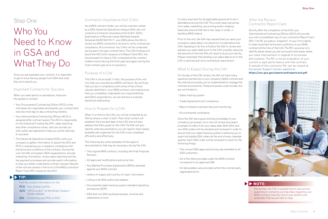It is also important for all applicable personnel to be in attendance during the CAV. This could mean personnel from sales, marketing, accounting and/or shipping (basically anyone that has a role, large or small, in handling MAS orders).

Prior to the visit, the IOA may request that you send your company's sales data in an electronic format before the CAV. Agreeing to do this will allow the IOA to review and sample your sales data prior to the CAV, possibly reducing the amount of time the IOA will need to be at your facility. Please remember that sending your sales data prior to the CAV is optional and not a contractual requirement.

#### What to Expect During the CAV

On the day of the CAV review, the IOA will have many questions pertaining to your company's MAS contract and the internal processes you've implemented to manage the contract successfully. These processes could include, but are not limited to:

- Sales tracking system
- Trade Agreements Act compliance
- Basis of Award customer discount monitoring
- Environmental compliance

Once the IOA has a good working knowledge of your company's processes, he or she will review and select a sample of orders from your sales data. Both GSA and non-GSA orders will be sampled and reviewed in order to ensure that your sales tracking system is allowing you to report all eligible GSA orders at the end of every calendar quarter. Each GSA order will be reviewed to check for the following things:

- The correct GSA-approved pricing was extended to all GSA customers
- All of the items provided under the MAS contract correspond to an approved SIN
- All deliverables were provided within the contractually negotiated terms

#### After the Review: Contractor Report Card

Shortly after the completion of the CAV, your Administrative Contracting Officer (ACO) will provide you with a completed copy of your contractor Report Card (RC). The RC provides a "snapshot" of your firm's ability to meet important terms and conditions of your MAS contract at the time of the CAV. The RC's purpose is to identify areas where you are successful and areas where you need improvement in regards to processes and systems. The RC is not an evaluation of your current or past performance with the contract. A sample of the contractor RC can be viewed at the Vendor Support Center website at

**https://vsc.gsa.gov/reportcard/reportcard.pdf**.



## Step One

# Who You Need to Know in GSA and What They Do

Once you are awarded your contract, it is important to get to know the key people from GSA and what they do to assist you.

#### Important Contacts for Success

When you need advice or assistance, these are the people to contact:

- Your Procurement Contracting Officer (PCO) is the individual who negotiates and awards your contract and resolves most day-to-day contracting matters.
- Your Administrative Contracting Officer (ACO) is assigned after contract award. The ACO is responsible for the Industrial Funding Fee (IFF), sales reporting and other compliance issues, and can provide you with useful springboards to help you up the stairway to success!
- The Industrial Operations Analyst (IOA) visits your company to gather information to assist the ACO and PCO in evaluating your company's compliance with the terms and conditions of the contract. During the visit, the IOA will explain GSA's expectations, provide marketing information, review sales reporting and the fee-payment processes and provide useful information to help you better understand contract clauses. Results of the visit are shared in the form of the MAS-contractor Report Card (RC) issued by the ACO.

#### Contractor Assistance Visit (CAV)

As a MAS contract holder, you will be routinely visited by a GSA Industrial Operations Analyst (IOA) who will conduct a Contractor Assistance Visit (CAV). GSA's Examination of Records clause (Multiple Awards Schedule GSAR 552.215-71, July 2003) allows the IOA to review any MAS contractor's records to verify contractual compliance. At a minimum, two CAVs will be conducted during each five-year contract term. The CAV findings will assist the ACO with issuance of a Report Card (RC). You should expect to have a CAV conducted at the contract midterm point (during the third year) and again during the final contract year prior to expiration.

#### Purpose of a CAV

The CAV is not an audit. In fact, the purpose of the visit is to help you succeed as a MAS contractor. By verifying that you are in compliance with some of the critical clauses identified in your MAS contract, and making sure that you completely understand your responsibilities and GSA's expectations, we can achieve a mutually beneficial relationship.

#### How to Prepare for a CAV

When it is time for the CAV, you will be contacted by an IOA by phone, e-mail or both. That initial contact will establish the time and date of the CAV and will also address the IOA's goals for the CAV. The IOA will also identify what documentation you will need to have readily available and organized for the CAV to be completed efficiently and effectively.

The following are some examples of the types of documentation that may be necessary during the CAV:

- The original MAS contract, including the Final Proposal Revision
- All approved modifications and price lists
- Any Blanket Purchase Agreements (BPAs) awarded against your MAS contract
- Letters-of-supply and country-of-origin information
- Listing of all GSA-authorized dealers
- Documented sales tracking system standard operating procedures (SOP)
- GSA and non-GSA quotes/proposals, invoices and statements of work

#### **TIP:**

Find the contact information for the:

- PCO Your eLibrary profile
- ACO "ACO Locator" on the Vendor Support Center website
- IOA Contacting your PCO or ACO

### **NOTE:**

Remember, the CAV is a great time to discuss any questions or concerns you may have regarding your MAS contract. Use the visit to your benefit, and remember that we are here to help.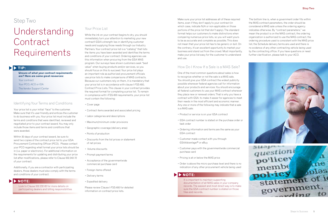Make sure your price list addresses all of these required items, even if they don't apply to your contract (in which case, indicate N/A or non-applicable on those portions of the price list that don't apply). The standard format helps our customers to make distinctions when comparing numerous price lists, so you will want yours to be as accurate and complete as possible. This does not mean that your price list has to be generic or dull. On the contrary, it's an excellent opportunity to market your business and stand out from the crowd. Most importantly, make your price list easy for the customer to understand and use.

### How Do I Know If a Sale is a MAS Sale?

One of the most common questions about sales is how to recognize whether or not the sale is a MAS sale. You should give your GSA contract the widest publicity possible whenever federal agencies call for information about your products and services. You should encourage all federal customers to use your MAS contract whenever they place new or renewal orders. That is why you have a contract with GSA: to make it easier for agencies to meet their needs in the most efficient and economic manner. Any one or more of the following may indicate that a sale is a MAS sale:

- Product or service is on your GSA contract
- GSA contract number is stated on the purchase order or task order
- Ordering information and terms are the same as your GSA contract
- Customer made contact with you through GSA*Advantage!*® or eBuy
- Customer pays with the governmentwide commercial purchase card
- Pricing is at or below the MAS price
- Order is above the micro-purchase level and there is no indication of any other procurement vehicle being used

The bottom line is, when a government order fits within the MAS contract parameters, the order should be considered a MAS sale unless the ordering agency indicates otherwise. By "contract parameters," we mean the product is on the MAS contract, the ordering organization is authorized to use the MAS contract, the ordering procedure used is consistent with the MAS price list, the Schedule delivery terms are used and there is no evidence of any other contracting vehicle being used by the contracting office. If you have questions or need further clarification, please talk to your ACO.



## Step Two

# Understanding **Contract** Requirements

### Identifying Your Terms and Conditions

**Unsure of what your contract requirements are? Here are some great resources:** Your contract

Your price list is your initial "face" to the customer. Make sure that it's user-friendly and entices the customer to do business with you. Your price list must include the terms and conditions that were identified, reviewed and negotiated prior to your contract award. You may only include those items and terms and conditions that were awarded.

Within 30 days of your contract award, be sure to send two copies of the contract price list to your GSA Procurement Contracting Officer (PCO). Please contact your PCO regarding what format your price lists should be in (i.e. paper or electronic). For additional information on the requirements for updating and distributing your price list after modifications, please refer to Clause 552.243-72 of your contract.

Additionally, if you are a contractor with participating dealers, those dealers must also comply with the terms and conditions of your contract.

#### Your Price List

While the ink on your contract begins to dry, you should immediately turn your attention to marketing your new contract! GSA's strength lies in identifying customer needs and supplying those needs through our Industry Partners. Your contract price list is a "catalog" that lists the items you have been awarded and identifies the terms and conditions of your contract. Ordering agencies use this information when procuring from the GSA MAS program. Our surveys have shown customers seek "best value" when buying products and/or services, so you should focus on this to succeed. Your price list plays an important role as authorized procurement officials use price lists to make comparisons of MAS contracts. Because our customers rely on them, it is mandatory that your price list is in accordance with clause I-FSS-600, Contract Price Lists. This clause in your contract provides the required format for completing a price list. To remain in compliance with I-FSS-600 requirements, your price list must contain the following:

- Cover page
- Contract items awarded and associated pricing
- Labor categories and descriptions
- Maximum/minimum order provisions
- Geographic coverage (delivery area)
- Points of production
- Discounts from the list prices or statement of net prices
- Volume discounts
- Prompt-payment terms
- Acceptance of the governmentwide commercial purchase card
- Foreign items offered
- Delivery terms
- Expedited delivery

Please review Clause I-FSS-600 for detailed information on contract price lists.

#### **TIP:**

Your PCO, ACO or IOA

The Vendor Support Center

#### **NOTE:**

Look to Clause 552.232-83 for more details on participating dealers and billing responsibilities

#### **NOTE:**

It is important to maintain supporting documentation of all MAS sales in your company records. The easiest and most direct way is to make sure the GSA contract number is stated on those files and records.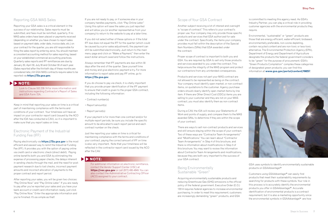#### Scope of Your GSA Contract

Another subject receiving a lot of interest and oversight is "scope of contract." This refers to your contract's proper use. Your company may only provide those specific products and services that GSA authorized for sale under the contract. Specifically, the items your company provides must fall within the description of the Special Item Numbers (SINs) that GSA awarded under the contract.

Proper scope of contract is important to both you and GSA. You are required by GSA to sell only those products and services awarded to you under the contract. This helps ensure the integrity of the MAS program and protect our contractors from any unintended consequences.

Products and services not part your MAS contract are not allowed to be represented as being on the contract. Your company must identify open-market, or non-contract items, on quotations to the customer. Agency purchase orders should clearly identify open-market items by line item. If there are Other Direct Cost (ODCs) items you are selling to your customer and they are not on your MAS contract, you must also identify them as non-contract items.

During a CAV, the IOA will review your Statements of Work and points of supply, and compare them to the MAS awarded SINs, to determine if they are within the scope of your contract.

There are ways to sell non-contract products and services and still ensure staying within the scope of your contract. Two of these ways are "Contractor Team Arrangements" and "Modifications." You can learn about "Contractor Team Arrangements" in Step 4 of this brochure, and there is information about modifications in Step 3 of this brochure. You may want to review the information about Contractor Team Arrangements and modifications, because they are both very important to the success of your GSA contract.

#### Being Environmentally Sustainable "Green"

Acquiring environmentally sustainable products and reducing Greenhouse Gas (GHG) emissions is the official policy of the federal government. Executive Order (E.O.) 13514 requires federal agencies to increase environmental purchasing. In order to meet this requirement, customers are increasingly demanding "green" products, and GSA

is committed to meeting this agency need. As GSA's Industry Partner, you can play a critical role in providing customer agencies with the environmental products they require.

Environmental, "sustainable" or "green" products are those that are energy-efficient, water-efficient, biobased, environmentally preferable, non-ozone depleting, contain recycled content and are non-toxic or less-toxic alternative. The Environmental Protection Agency (EPA), Department of Energy and Department of Agriculture designate the products the federal government considers to be "green" for the purpose of procurement. GSA's "Green Products Compilation" compiles these categories of designated green products; you can find this information at **www.gsa.gov/portal/content/198257**.



GSA uses symbols to identify environmentally sustainable products on GSA*Advantage!*®

Customers using GSA*Advantage!*® can easily find products that meet their sustainability requirements by searching for products with these symbols. Your role in this process is to accurately identify the environmental products you offer in GSA*Advantage!*®. Accurate identification of environmental products is a contract requirement, but it is also a marketing opportunity since the environmental symbols in GSA*Advantage!*® are how

#### Reporting GSA MAS Sales

Reporting your GSA sales is a critical element in the success of our relationship. Sales reports must be submitted, and fees must be remitted, quarterly. If no MAS sales orders have been placed or payments received (depending on whether you have chosen to report sales based on payment date, order date, invoice date, etc.) on your contract for the quarter, you are still responsible for filing the sales report by entering zeros. You should maintain a consistent accounting method for sales reporting, based on your established commercial accounting practices. Quarterly sales reports and IFF remittances are due by January 30, April 30, July 30 and October 30 of each year. (Sales reported after the thirtieth day of these months are considered late.) All GSA MAS contracts require sales to be reported via **https://72a.gsa.gov.**

Keep in mind that reporting your sales on time is a critical part of maintaining compliance with the terms and conditions of your contract. Your timeliness will have an impact on your contractor report card (issued by the ACO after the IOA has conducted a CAV), so it is important to make sure that you report sales on time.

#### Electronic Payment of the Industrial Funding Fee (IFF)

Paying electronically via **https://72a.gsa.gov** is the most efficient and easiest way to remit the Industrial Funding Fee (IFF). It provides you with the option of paying online via credit card or electronic check (direct debit). Paying online benefits both you and GSA by eliminating the expense of processing paper checks, the delays inherent in sending checks through the mail, and the need for postpayment research due to lost checks, incorrect payment amounts and incorrect allocation of payments to the proper contract and report period.

After reporting your sales, you will be given two choices: "Pay Online Now" and "Pay Online Later." If you are ready to pay after you've reported your sales and you have your bank account or credit card information ready, just click "Pay Online Now." Enter the appropriate information and you're finished. It's as simple as that!

If you are not ready to pay, or if someone else in your company handles payments, click "Pay Online Later." Using this option will save the sales you just reported and will allow you (or another representative from your company) to return to the website to pay at a later time.

If you did not select either of these options or if the total IFF due does not equal the IFF for the quarter (which could be caused by a prior sales adjustment), the payment can still be submitted electronically. Just return to the main menu page and click on "Make a Payment," then enter the exact dollar amount owed and follow the instructions.

Always remember that IFF payments are due within 30 days after the end of the quarter. Save yourself time and money and give electronic payment a try. For more information to report sales and pay IFF online, go to **https://72a.gsa.gov**.

If you do choose to pay via check, it is vitally important that you provide proper identification of the IFF payment to ensure that credit is given to the proper GSA contract, including the following information:

- Contract number(s)
- Report amount(s)
- Report period(s)

If your payment is for more than one contract and/or for multiple report periods, be sure you include the specific amount to be allocated to each report period and each contract number on the check.

Just like reporting your sales on time is critical for maintaining compliance with the terms and conditions of your contract, paying the correct amount of IFF on time is also very important. Note that your timeliness will be reflected in the contractor report card issued by the ACO after the CAV.

#### **NOTE:**

Look to Clause 552.238-74 for more information and instructions regarding Contractor's Report of Sales and GSA Form 72A.

#### **NOTE:**

For additional information on electronic remittance, contact the Vendor Support Center (VSC) at **https://vsc.gsa.gov** or call (877) 495-4849. You can also contact the Administrative Contracting Officer (ACO) assigned to your contract.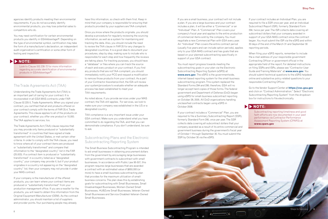If you are a small business, your contract will not include a plan. If you are a large business and your contract includes a plan, it will be either a "Commercial" or an "Individual" Plan. A "Commercial" Plan covers your company's fiscal year and applies to the entire production of commercial items sold by the company. You must negotiate a new Commercial Plan with GSA every year. An "Individual" Plan covers the entire contract period (usually five years and can include option periods), applies only to your GSA MAS contract and has goals that are based on your planned subcontracting specifically in support of your GSA contract.

You must report progress towards meeting the subcontracting goals in your plan via the Electronic Subcontracting Reporting System (eSRS) at **www.esrs.gov**. The eSRS is the governmentwide, internet-based reporting system for the small-business subcontracting program. This system replaced the Standard Forms 294 and 295; therefore, GSA will no longer accept hard copies of those forms. The federal government and Department of Defense (DoD) began using eSRS for small-business subcontract reporting on October 28, 2005. All DoD organizations handling unclassified contracts began using eSRS in October 2008.

If your contract includes a "Commercial" Plan, you are required to file a Summary Subcontracting Report (SSR), formerly Standard Form 295, once per year. The SSR collects data covering all subcontract dollars that your company awarded as a result of its entire commercial and government business during the government's fiscal year of October 1 through September 30. You must submit the SSR by October 30 via the eSRS.

If your contract includes an Individual Plan, you are required to file a SSR once per year, and an Individual Subcontract Report (ISR), formerly Standard Form 294, twice per year. The ISR collects data covering all subcontract dollars that your company awarded in support of your GSA MAS contract since the contract began. You must submit the ISR via the eSRS and within 30 days of the end of the March 31 and September 30 reporting periods.

When filing your eSRS reports, remember to include the e-mail address of your responsible government Contracting Officer or government official in the appropriate field of the report. For detailed instructions on filing SSRs and ISRs, please see "Contractor User Guide and Training Materials" at **www.esrs.gov**. You should submit technical questions to the eSRS helpdesk online and substantive policy-related questions to your responsible Contracting Officer.

Go to the Vendor Support Center at **https://vsc.gsa.gov** and click on "Contract Administration." Select "Electronic Subcontracting Reporting System" from the dropdown box for instructions to file electronically.

agencies identify products meeting their environmental requirements. If you do not accurately identify environmental products, you may lose potential sales to competitors who do.

You may need certification for certain environmental products you identify in GSA*Advantage!*®. Depending on the type of environmental symbol, certification may take the form of a manufacturer's declaration, an independent audit organization's certification or some other form of testing and inspection.

#### The Trade Agreements Act (TAA)

Understanding the Trade Agreements Act (TAA) is an important part of caring for your contract. It is incorporated in all GSA MAS contracts under FAR Clause 52.225-5, Trade Agreements. When you signed your contract, you certified that all end products offered on your contract comply with the terms of FAR 25.4, Trade Agreements. This clause applies to all of the products on your contract, whether you offer one product or 10,000. The TAA applies to services, too.



The Trade Agreements Act (TAA) clause requires that you may provide only items produced or "substantially transformed" in countries that have signed a trade agreement with the United States, or met certain other criteria. In order to comply with the TAA clause, you need to know where all of your contract items are produced or "substantially transformed" and compare that information to the "designated country" list in the FAR (25.003). If a contract item is produced or "substantially transformed" in a country listed as a "designated country," your company may provide it, but if your product originates in a country not appearing on the "designated country" list, then your company may not provide it under your MAS contract.

If your company is the manufacturer of the offered products, you can learn where your contract items are produced or "substantially transformed" from your production management office. If you are a reseller for the products, you will need to obtain this information from the Original Equipment Manufacturer (OEM). As the contract administrator, you should maintain a list of suppliers and provider points. Your purchasing people may already

have this information, so check with them first. Keep in mind that your company is responsible for ensuring that products provided by your suppliers are TAA-compliant.

Once you know where the products originate, you should develop a procedure for regularly reviewing the sourcing information, as well as a system for maintaining and tracking the data. Also, you should include the need to review the TAA clause in FAR 25 for any changes to designated countries. It is a good idea to document your procedures, step by step, making sure to include who is responsible for each step and how frequently the reviews are taking place. For tracking purposes, you should have a "database" or files where you can track the source of each and every product on your contract. If you find any products that are not TAA-compliant, you should immediately notify your PCO and request a modification to remove those products from your contract. As a part of your Contractor Assistance Visit, the IOA will review your system/procedure to evaluate whether an adequate process has been established to meet your TAA requirements.

As noted above, if you provide services under your MAS contract, the TAA still applies. For services, we look to make sure your company was established in the US or a designated country.

TAA compliance is a very important issue under your GSA contract. Make sure you understand what you have committed to do regarding the TAA, and that you can demonstrate compliance. If you don't understand, be sure to ask.

#### Subcontracting Plans and the Electronic Subcontracting Reporting System

The Small Business Subcontracting Program is intended to aid small businesses in obtaining procurement dollars from the government by encouraging large businesses with government contracts to subcontract with small businesses. In accordance with Public Law 95-507, this program requires large businesses that are awarded a contract with an estimated value of \$650,000 (or more) to have a small-business-subcontracting plan that provides for the maximum utilization of smallbusiness concerns. The plan does this by establishing goals for subcontracting with Small Businesses, Small Disadvantaged Businesses, Women-Owned Small Businesses, HUBZone Small Businesses, Veteran-Owned Small Businesses and Service-Disabled-Veteran-Owned Small Businesses.

#### **NOTE:**

Subcontracting reporting timeliness and good faith efforts are now documented in your past performance via Contractor Performance Assessment Reporting System (CPARS) at **www.cpars.gov**

#### **NOTE:**

Look to Clause 552.238-72 for more information regarding accurate identification of environmental products in GSA*Advantage!*®.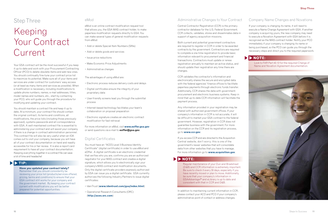### Administrative Changes to Your Contract

Central Contractor Registration (CCR) is the primary contractor database for the U.S. Federal Government. CCR collects, validates, stores and disseminates data in support of agency acquisition missions.

Both current and potential government contractors are required to register in CCR in order to be awarded contracts by the government. Contractors are required to complete a one-time registration to provide basic information relevant to procurement and financial transactions. Contractors must update or renew registration annually to maintain an active status, and should update their registration any time there are changes.

CCR validates the contractor's information and electronically shares the secure and encrypted data with the federal agencies' finance offices to facilitate paperless payments through electronic funds transfer. Additionally, CCR shares the data with governmentprocurement and electronic business systems. Keep in mind that up-to-date CCR information will facilitate the payment process.

Any information provided in your registration may be shared with authorized government offices. If your company's information in CCR is not accurate, it will be difficult to market your GSA contract to the federal government. However, registration in CCR does not guarantee business with the government. For more information on the CCR and its registration process, go to **www.ccr.gov**.

If you access CCR and are directed to the Acquisition Central website, don't worry; this is one of the government's newer websites that will consolidate data from other websites that you have to manage. For more information go to **www.acquisition.gov**.

In addition to maintaining current information in CCR, please contact your ACO and PCO if your company's administrative point of contact or address changes.

#### Company Name Changes and Novations

If your company is changing its name, it will need to execute a Name Change Agreement with GSA. If another company is acquiring yours, the new company may need to execute a Novation Agreement with GSA before it is recognized as the MAS contract holder. Notify your PCO immediately if your company is changing its name or being purchased, so the PCO can guide you through the necessary steps and direct you to the required paperwork.

### Step Three

# Keeping Your Contract Current

Your GSA contract will be the most successful if you keep it up-to-date and work with your Procurement Contracting Officer (PCO) to delete obsolete items and add new ones. You should continually fine-tune your contract price list to maximize its potential. Make sure all of your items and services are under contract for customers' easy access (or at least as many items and services as possible). When a modification is necessary, including modifications to update phone numbers, names, e-mail addresses, titles, model names and numbers, etc., start by contacting your PCO, who will guide you through the procedure for modifying and updating your contract.

You should maintain a contract file and keep it up to date. At a minimum, your contract file should contain the original contract, its terms and conditions, all modifications, the price lists (including those previously approved), systems passwords and all correspondence with GSA. A well-maintained contract file is essential to administering your contract and will assist your company if there is a change in contract administration personnel. This contract file will also be very useful when an IOA comes out to visit your company, because you will have all of your contract documentation on hand and readily accessible for his or her review. It is also a report card requirement to have all your contract documentation. Keeping everything together in a contract file can save a lot of time and headache!

#### eMod

eMod is an online contract modification request tool that allows you, the GSA MAS contract holder, to make paperless modification requests directly to GSA. You can make several types of general modification requests from eMod:

- Add or delete Special Item Numbers (SINs)
- Add or delete goods and services
- Issue price reductions
- Make Economic Price Adjustments
- Administrative changes
- The advantages of using eMod are:
- Electronic process reduces delivery costs and delays
- Digital certificates ensure the integrity of your proprietary data
- User-friendly screens lead you through the submittal process
- Internet-based technology facilitates your team's collaboration on proposal preparation
- Electronic signature creates an electronic contract modification for fast retrieval

For more information on eMod, visit **www.eoffer.gsa.gov** or send questions via e-mail to **eoffer@gsa.gov**.

#### Digital Certificates

You must have an "ACES Level 3 Business Identity Certificate" (digital certificate) in order to use eMod and eOffer. A digital certificate is an electronic credential that verifies who you are, confirms you are an authorized negotiator for your MAS contract and creates a digital signature, which allows you to electronically sign your company's MAS contract and modification documents. Only the digital certificate providers expressly authorized by GSA can issue you a digital certificate. GSA currently authorizes the following Industry Partners to issue digital certificates:

- IdenTrust (**www.identrust.com/gsa/index.html**)
- Operational Research Consultants (ORC) (**http://aces.orc.com**)

### **TIP:**

#### **Have you updated your contract lately?**

Remember that you should consistently be reviewing your price list (products/services offered, pricing, terms and conditions) to ensure that your GSA contract still works for your company and the government market. By keeping your contract current with modifications you will be better prepared for potential opportunities.

#### **NOTE:**

Regular maintenance of your Dun and Bradstreet (D&B) and CCR information is extremely important. Be sure to check it every 30 days, especially if you have recently moved or plan to move. Additionally, be sure that your company's information in GSA*Advantage!*® and eLibrary is up to date and consistent with that in CCR and D&B.

**NOTE:**

Look to FAR Part 42.12 for the required Change of Name and Novation Agreement documentation.

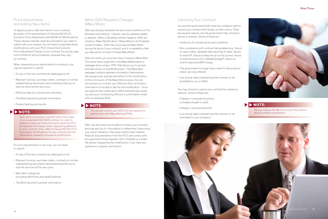



#### Canceling Your Contract

You and the government both have the unilateral right to cancel your contract with 30 days written notice. There are several reasons why the government may choose to cancel a contract. Some of these are:

- Violations of contract terms and conditions
- Non-compliance with contract deliverables (e.g., failure to report sales, repeated late reporting of sales, failure to remit IFF, failure to keep the price list current, failure to load the price list to GSA*Advantage!*®, failure to submit required eSRS filings)
- The government no longer has a need for the products and/or services offered
- Low annual sales (maintaining the contract is not profitable to you or GSA)

You may choose to cancel your contract for numerous reasons. Some of these are:

- Change in corporate structure (company bought or sold)
- Change in business direction
- Low annual sales (maintaining the contract is not profitable to your company)

#### Price Adjustments and Adding New Items

To adjust prices or add new items to your contract, be aware of the requirements of Clauses 552.216-70, Economic Price Adjustment, and 552.243-72, Modifications. These clauses indicate what documentation you need to submit with your request. You will have to negotiate these modifications with your PCO. Check the Economic Price Adjustment Clause in your contract for pricing caps, time limitations and procedures, because they vary by contract.

When requesting price adjustments for products, you may be required to submit:

- A copy of the new commercial catalog/price list
- Relevant invoices, purchase orders, contracts or similar substantiating documents demonstrating that you've sold the items at the new price
- Effective date for commercial customers
- The Most Favored Customer information
- Product testing and results

For price adjustments on services, you will need to submit:

- A copy of the new commercial catalog/price list
- Relevant invoices, purchase orders, contracts or similar substantiating documents demonstrating that you've sold the services at the new price
- New labor categories (including definitions and qualifications)
- The Most Favored Customer information

#### When GSA Requests Changes (Mass Mods)

GSA periodically refreshes the terms and conditions of its Schedule solicitations. Clauses may be updated, added or deleted. When a Schedule refresh happens, GSA will initiate a "Mass Modification" (Mass Mod) to all Schedule contact holders. GSA may issue several Mass Mods during the term of your contract, and it is mandatory that you take action on each of these Mass Mods.

GSA will notify you via email when it issues a Mass Mod. This email has a hyperlink to the Mass Modification's webpage and a unique "PIN" that allows you to access and take action on the Modification. The Mass Mod webpage contains detailed information that explains the background, purpose and effect of the modification. At the conclusion of the Mass Mod process, the site will prompt you to enter your PIN and other verification information to accept or decline the modification. Once you execute the modification, GSA automatically sends you and your Contracting Officers a confirmation email with an attached SF30.

GSA may also exercise its option to renew your contract and may ask you for information to determine if exercising your option remains in the government's best interest. Read all documentation from the PCO and comply with any specified timing requests. Don't hesitate to contact the person requesting the modification if you have any questions or require clarification

**NOTE:**

Review Clause 552.238-73 for more information about contract cancellation.

### **NOTE:**

You should contact your ACO with any questions **NOTE:** pertaining to the Mass Mod and PINs.

New items or services must fall within the scope of your awarded GSA MAS contract. In order to reduce turnaround times, be sure to send the PCO all required information when requesting additions to your contract. Also, refer to Clause 552.243-72 for more about modifications to your contract and the information needed to process a modification.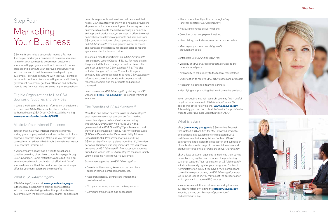#### **Step Four**





- Place orders directly online or through eBuy (another benefit of GSA*Advantage!* ® )
- Review and choose delivery options
- Select a convenient payment method
- View history, track status, re-order or cancel orders
- Meet agency environmental ("green") procurement goals

#### Contractors use GSA*Advantage!* ® for:

- Visibility of MAS-awarded products/services to the federal marketplace
- Availability to sell directly to the federal marketplace
- Qualification to receive MAS eBuy quotes and proposals
- Researching potential teaming partners
- Identifying and promoting their environmental products

When conducting market research, you may find it useful to get information about GSA*Advantage!* ® sales. You can do this at the following link: **www.asap.gsa.gov**. Alternately, you can find this at the Vendor Support Center website under Business Opportunities > ASAP.

#### What is eBuy?

eBuy (**www.ebuy.gsa.gov**) is GSA's online Request for Quotes (RFQ) solution for MAS-awarded products and services. It is available only to registered MAS and Governmentwide Acquisition Contract (GWAC) contractors. It facilitates the request for, and submission of, quotes for a wide range of commercial services and products offered by sellers who are on GSA*Advantage!* ® .

eBuy allows customer agencies to maximize their buying power by bringing the contractor and the purchasing customer together. Your registration on GSA*Advantage!* ® will simultaneously register your designated Contract Administrator on eBuy. If you have a MAS contract and currently have your catalog on GSA*Advantage!* ®, simply log in! Once logged in, you may select the categories for which you want to receive RFQ notices.

You can review additional information and guidance on our eBuy system by visiting the **https://vsc.gsa.gov** website, clicking on "Business Opportunities" and selecting "eBuy."

# Step Four Marketing Your Business

GSA wants you to be a successful Industry Partner. Just as you market your commercial business, you need to market your business to government customers. Your marketing program should include steps to define, promote and distribute your approved product/service information, and to maintain a relationship with your customers – all while complying with your GSA contract terms and conditions. Good marketing efforts will identify government customers, get their attention and motivate them to buy from you. Here are some helpful suggestions.

#### Eligible Organizations to Use GSA Sources of Supplies and Services

If you are looking for additional information on customers who can use GSA MAS contracts, check the list of authorized users (GSA Order ADM 4800.2G) by visiting **www.gsa.gov/portal/content/104212** .

#### Maximize Your Internet Presence

You can maximize your Internet presence simply by adding your company website address on the front of your approved contract price list. Make sure you provide the correct Internet address that directs the customer to your GSA contract information.

If your company already has a website established, consider providing direct links to your homepage through GSA*Advantage!* ®. Some restrictions apply, but this is an excellent way to avoid duplication of effort and "wow" your customers with all the products and/or services you offer. It's your contract; make the most of it.

#### What is GSA*Advantage!* ® ?

#### GSA*Advantage!*®, located at **www.gsaadvantage.gov**,

is the federal government's premier online catalog, information and ordering system that provides federal customers with the ability to quickly search, compare and order those products and services that best meet their needs. GSA*Advantage!* ® is known as a reliable, proven onestop resource for federal employees. It allows government customers to educate themselves about your company and approved products and/or services. It offers the most comprehensive selection of products and services from GSA contracts. Inclusion of your products and services on GSA*Advantage!* ® provides greater market exposure and increases the potential for greater sales to federal agencies and activities worldwide.

You should note that participation in GSA*Advantage!* ® is mandatory. Look to Clause I-FSS-597 for more details. Keep in mind that each time your contract is modified, you must update your GSA*Advantage!* ® file. This also includes changes in Points of Contact within your company. It is your responsibility to keep GSA*Advantage!* ® information current, accurate and complete to help federal customers find the products and services they need.

Learn more about GSA*Advantage!* ® by visiting the VSC website at **https://vsc.gsa.gov**. Free online training is available.

#### The Benefits of GSA*Advantage!* ®

More than one million customers use GSA*Advantage!* ® each week to search out sources, perform market research and place orders. Customers ordering through GSA*Advantage!* ® will provide you with a governmentwide GSA SmartPay ®2 purchase card, and they can also provide an Agency Activity Address Code (AAC) or a Department of Defense Activity Address Code (DODAAC). Procurement officials utilizing GSA*Advantage!* ® currently place more than 30,000 orders per week. Therefore, it is very important that you have a presence on GSA*Advantage!* ®. The faster your approved price list is loaded into GSA*Advantage!* ®, the more rapidly you will become visible to GSA's customers.

Government agencies use GSA*Advantage!* ® to:

- Search for items using keywords, part numbers, supplier names, contract numbers, etc.
- Research potential contractors through their posted websites
- Compare features, prices and delivery options
- Configure products and add accessories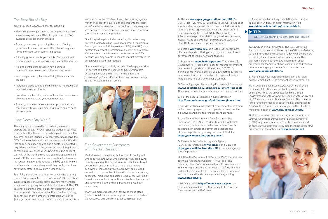#### **A.** Review **www.gsa.gov/portal/content/104212** –

GSA Order ADM 4800.2G, Eligibility to use GSA sources of supply and services – which provides detailed information regarding those agencies, activities and organizations determined eligible to use GSA MAS contracts. The GSA order also provides definitive guidelines concerning eligibility requirements and limitations for a variety of other GSA sources of supply and services.

**B.** Explore **www.usa.gov**, as it is the U.S. government official web portal offering chat, blogs and direct links to government agencies, news and features.

**C.** Register on **www.fedbizopps.gov**. This is the U.S. Government's virtual marketplace for federal government procurement opportunities that exceed \$25,000. By signing up for this free service, you automatically receive procurement information and position yourself to react more quickly to procurement opportunities.

**D.** See multiple agencies recurring Procurement Forecasts at: **www.acquisition.gov/comp/procurement\_forecasts**. There may be potential sales opportunities for your company.

**E.** Visit the Federal Acquisition Jump Station on **http://prod.nais.nasa.gov/pub/fedproc/home.html**.

It provides websites with federal procurement information broken down by agency for multiple departments of the executive branch and their independent agencies.

**F.** Use Federal Procurement Data Systems – Next Generation (FPDS-NG) – to identify who bought what, from whom, for how much, when and where. The site contains both simple and advanced searches and different reports that you may find useful. Find it at **https://www.fpds.gov/fpdsng\_cms/**.

**G.** Research the Defense Logistics Agency (DLA) procurements at **www.dla.mil** and DIBBS at **https://www.dibbs.bsm.dla.mil/**. (These are agencyspecific portals.)

**H.** Utilize the Department of Defense (DoD) Procurement Technical Assistance Centers (PTACs) as a local resource. They can provide assistance to business firms in marketing products and services to the federal, state and local governments at no or nominal cost. Get more information and locate one in your area by visiting **www.aptac-us.org**.

**I.** The Navy offers **https://www.neco.navy.mil** as an eCommerce online tool. It provides drill-down-type "business opportunities" links.

**J.** Always consider military installations as potential sales opportunities. For more information, visit **www.defenselink.mil/faq/pis/sites.html**.

**K.** GSA Marketing Partnership: The GSA Marketing Partnership is a service offered by the Office of Marketing to help strengthen the success of GSA MAS contractors in building identification and increasing sales. This partnership provides news and information about program enhancements, shows, expositions and various other marketing opportunities. Visit the website at **www.gsa.gov/market2feds**.

**L.** Remember, your local phone book contains "blue pages," which list U.S. government office information.

**M.** If you are a small business, GSA's Office of Small Business Utilization may be able to provide more assistance. They are advocates for Small, Small Disadvantaged, Veteran, Service-Disabled Veteran-Owned, HUBZone, and Women Business Owners. Their mission is to promote increased access for small businesses to GSA's nationwide procurement opportunities. Find out more information at **www.gsa.gov/aboutosbu**.

**N.** If you ever need help convincing a customer to use your GSA contract, our Customer Service Directors (CSDs) may be of assistance. They host seminars and contact various agencies to educate them about the MAS program. Visit the website at **www.gsa.gov/csd**.



#### The Benefits of eBuy

eBuy provides a wealth of benefits, including:

- Maximizing the opportunity to participate by notifying you of new government RFQs for your specific MASawarded products and/or services
- Saving you money by reducing the cost of finding government business opportunities, decreasing leadtimes and costs when submitting quotes
- Allowing government buyers and MAS contractors to communicate requirements and quotes via the Internet.
- Helping contractors establish new business relationships as new opportunities are discovered
- Improving efficiency by streamlining the acquisition process
- Increasing sales potential by making you more aware of new business opportunities
- Providing valuable information on the federal marketplace, allowing you to expand your customer base
- Saving you time because business opportunities are sent directly to you via e-mail, and quotes can be sent electronically

#### How Does eBuy Work?

The eBuy system is used by an ordering agency to prepare and post an RFQ for specific products, services or a combination thereof for a certain period of time. The customer selects various MAS contractors to receive the RFQ. Each selected vendor will receive e-mail notification that an RFQ has been posted and a quote is requested. It may take some time for the generated e-mail to get to you, so make sure you check your GSA*Advantage!*® account every day. (You may be missing a valuable opportunity if you don't!) Those contractors not specifically chosen by the requesting agency to receive the RFQ can still view it on eBuy and can submit a quote if they qualify, i.e., they have the contract Special Item Number (SIN).

Each RFQ is assigned a category or SIN by the ordering agency. Some examples of the categories/SINs are office supplies/paper, consulting services, snow maintenance equipment, temporary help and services/clerical. The SIN designation and the ordering agency determine which contractors will receive e-mail notices. Each notice may be sent to all or any number of contractors within the SIN. Contractors wanting to quote must do so at the eBuy website. Once the RFQ has closed, the ordering agency may then accept the quote(s) that represents the "best value" and issue an order to the contractor whose quote was accepted. Since response times are short, checking your account daily is imperative.

One thing to keep in mind about eBuy: it can be a very powerful tool to building up a list of potential customers. Even if you cannot fulfill a particular RFQ, that RFQ may contain the contact information of a potential customer. Make a note of the information contained in the RFQ, because you may be able to use it to market directly to the person who issued that request!

Now you see why it is vitally important to keep your price list current and properly posted on GSA*Advantage!*®. Ordering agencies are turning more and more to GSA*Advantage!*® and eBuy for their procurement needs. You do not want to be left behind!



#### Find Government Customers with Market Research

Market research is a powerful tool used in finding out who is buying, and what, when and why they are buying. Identifying and gathering information about your target government customer will be a major step toward achieving or increasing your government sales. Good, current customer contact information is the heart of any successful marketing and sales program. You will find an incredible amount of information available on the Internet and government agency home pages once you begin researching.

Start your market research by following these steps (Note: This list is illustrative only and does not include all the resources available for market data research.):

#### **TIP:**

Narrow your search by region, state and location.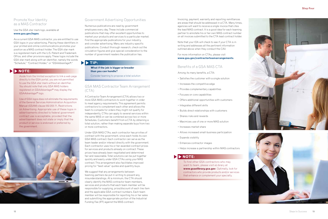



#### Promote Your Identity as a MAS Contractor

#### Use the GSA star mark logo, available at **www.gsa.gov/logos** .

As a current GSA MAS contractor, you are entitled to use GSA logos in your advertising. Placing these identifiers in your printed and online communications promotes your position as a MAS contract holder. The GSA star mark is a registered mark with the U.S. Patent and Trademark Office, and other provisions apply. These logos include the GSA star mark along with an identifier, namely the words "Schedule," "Contract Holder," or "GSA*Advantage!* ®."

#### Government Advertising Opportunities

Numerous publications are read by government employees every day. These include commercial publications that may offer excellent opportunities to market your products and services to a particular market. Find the appropriate publications for your industry, and consider advertising. Many are industry-specific publications. Conduct thorough research, check out the circulation figures and give special consideration to the number of government readers the publication has.

### **TIP:**

#### GSA MAS Contractor Team Arrangement (CTA)

A Contractor Team Arrangement (CTA) allows two or more GSA MAS contractors to work together in order to meet agency requirements. This agreement permits contractors to complement each other and allows the team to compete for orders they might not qualify for independently. CTAs can apply to several services within the same MAS or can be combined across two or more Schedules. Customers benefit from a CTA by obtaining a total solution, rather than making separate buys from two or more contractors.

Under GSA MAS CTAs, each contractor has privities of contract with the government, since each holds its own GSA MAS contract. Each contractor can serve as the team leader and/or interact directly with the government. Each contractor uses his or her awarded contract prices for services and products already on contract. These prices have already been negotiated and determined fair and reasonable. Total solutions can be put together quickly and easily under GSA CTAs using your MAS contract. This arrangement also facilitates improved pricing for "best value" quotes and quantity buys.

We suggest that any arrangements between teaming partners be put in writing to prevent any misunderstandings. At a minimum, the CTA should clearly identify the MAS contractor team members, services and products that each team member will be responsible for supplying, price/discount of each line item and the applicable GSA contract numbers. Each team member will be responsible for reporting his or her sales and submitting the appropriate portion of the Industrial Funding Fee (IFF) against the MAS contract.

#### **What if the job is bigger or broader than you can handle?**

Consider teaming to propose a total solution

Invoicing, payment, warranty and reporting remittances are areas that should be addressed in a CTA. Many times, agencies will want to receive a single invoice that cites the lead MAS contract. It is a good idea for each teaming partner to annotate his or her own MAS contract number on all invoices submitted to the CTA lead contract holder.

Note that your IOA will check to see if your CTA is in writing and addresses all the pertinent information outlined above when they conduct the CAV.

#### For more information on CTAs, please visit **www.gsa.gov/contractorteamarrangements** .

#### Benefits of a GSA MAS CTA

Among its many benefits, a CTA:

- Satisfies the customer with a single solution
- Increases the competitive edge
- Provides complementary capabilities
- Focuses on core capabilities
- Offers additional opportunities with customers
- Integrates different skills
- Builds direct relationships with customers
- Shares risks and rewards
- Maximizes use of one or more MAS solution
- Increases market share
- Allows increased small-business participation
- Expands visibility
- Enhances contractor images
- Helps increase a partnership within MAS contractors

#### **NOTE:**

To find other GSA contractors who may want to team, please visit eLibrary at **www.gsaelibrary.gsa.gov**. Optimally, look for contractors who provide products and/or services that enhance or complement your specialty.

#### **NOTE:**

Aside from the limited exception to link a web page directly to the GSA portal, you are not permitted to use the GSA star mark without an identifier. You should note that only GSA MAS holders registered on GSA*Advantage!* ® may display the GSA*Advantage!* ® logo.

Use of GSA logos does not eliminate the requirements of the General Services Administration Acquisition Manual (GSAM) clause 552.203-71, Restrictions on Advertising. Appropriate use of these logos in advertisements directed to federal government contract use is acceptable, provided that the advertisement does not state or imply that the product or service is endorsed or preferred by the government.

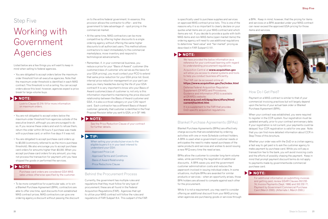#### **Step Five**

is specifically used to purchase supplies and services on approved MAS contract price lists. This is one of the reasons why it is so important to clearly declare on your quotes what items are on your MAS contract and which items are not. If you decide to provide a quote with both MAS items and non-MAS items (open market items) the ordering agency will need to use additional regulations to determine "best value" and "fair market" pricing as described in FAR Subpart 2.101.

#### Blanket Purchase Agreements (BPAs)

Blanket Purchase Agreements (BPAs) are effectively charge accounts that are established by ordering activities with one or more Schedule contract holders. A BPA is used when a government customer needs or anticipates the need to make repeat purchases of the same products and services and wishes to avoid issuing a new RFQ every time the need arises.

BPAs allow the customer to consider long-term volume sales, while permitting the negotiation of additional discounts. A BPA saves you and the government customer administration costs and reduces the paperwork involved in issuing individual orders. In some situations, multiple BPAs are awarded for similar products or services – when an opportunity arises, those BPA holders are allowed to compete against each other for the procurement.

While it is not a requirement, you may want to consider offering an additional discount from your MAS pricing when agencies are purchasing goods or services through a BPA. Keep in mind, however, that the pricing for items and services on a BPA awarded under your MAS contract can never exceed the approved GSA pricing for those items and services.



### How Do I Get Paid?

Payment on a MAS contract is similar to that of your commercial invoicing practices but will largely depend upon the terms of your actual task order or Blanket Purchase Agreement (BPA).

When your contract was established, you were required to register in the CCR system. Your registration must be updated annually, prior to your contract anniversary date. If your registration is not current, your payments could be delayed. Your CCR registration is valid for one year. Note that you can find more detailed information about CCR in Step Three of this brochure.

Whether your order was with the DoD or a civilian agency, a fast way to get paid is to ask the customer agency to make payment by purchase card. While you will pay a transaction fee to the bank, you will avoid invoicing costs and the efforts of possibly chasing the payment. Keep in mind that prompt payment discount terms do not apply to payments made by governmentwide commercial purchase card.

# Step Five

# Working with Government Agencies

Listed below are a few things you will want to keep in mind when selling to federal agencies.

• You are obligated to accept orders below the maximumorder threshold from all executive agencies. Note that the maximum-order threshold is identified in each MAS contract. This threshold is not a ceiling. You can accept orders above this level; however, agencies expect a price break for large-volume buys.

- You are not obligated to accept orders below the maximum-order threshold from agencies outside of the executive branch, although you are encouraged to do so. If you receive these orders and wish to refuse them, return the order within 24 hours if purchase was made with a purchase card, or within five days if it was not.
- You are obligated to accept purchase-card orders up to \$3,000 (commonly referred to as the micro-purchase threshold). We also encourage you to accept purchasecard orders for amounts higher than \$3,000. When you accept purchase-card orders for any amount, you may not process the transaction for payment until you have shipped the goods or performed the services.

• To be more competitive for a particular sale, or to win a Blanket Purchase Agreement (BPA), contractors are able to offer one-time, spot discounts from established MAS contract prices. MAS contractors can give one ordering agency a discount without passing the discount on to the entire federal government. In essence, this provision allows the contractor to offer – and the government to take advantage of – spot pricing in the commercial market.

- At the same time, MAS contractors can be more competitive by offering higher discounts to a single ordering agency without offering the same higher discounts to all authorized users. This method allows contractors to react immediately to the commercial marketplace, move inventory and respond to technological advancements.
- Remember, if, in your commercial business, you reduce a price for your "Basis of Award" customer (the customer/class of customer who serves as the basis for your GSA pricing), you must contact your PCO to extend that same price reduction for your GSA price list. Good, internal price reduction management on your part can save you many headaches during the life of your GSA contract! It is very important to know who your Basis of Award customer/class of customer is; not only is this information important to maintaining the price discount relationship between the Basis of Award customer and GSA, it is also a critical category on your CAV report card. Each contractor has a different Basis of Award customer; generally, that customer is identified in the Final Proposal Revision letter you sent to GSA, or in SF 1449.

#### Behind the Procurement Process

Currently, the government has multiple rules and regulations that they must follow for any type of procurement; these are all found in the Federal Acquisition Regulations (FAR). Agencies that opt to utilize your MAS contract will follow the rules and regulations of FAR Subpart 8.4. This subpart of the FAR

#### **TIP:**

When selling your products/services to the eligible buyers it is in your best interest to understand your GSA:

- Approved Price List
- Approved Terms and Conditions
- Basis of Award Relationship
- Price Reductions Clause

#### **NOTE:**

For additional information on submitting invoices and getting paid, review GSAR Clauses 552.232- 74, Invoice Payments (Sept. 1999) and 552.232-77, Payment by Government Commercial Purchase Card (March 2000). (Alternate I, March 2000.)

#### **NOTE:**

Look to Clause 52.216-19 for more information on maximum orders.

#### **NOTE:**

Purchase-card orders are considered GSA MAS sales unless otherwise specified by the customer.

#### **NOTE:**

D

See the Price Reduction Clause of your contract for further details.

#### **NOTE:**

We have provided the below information as a reference for your continued learning with regard to understanding procurement regulations.

Acquisition Central at **www.acquisition.gov** will allow you access to shared systems and tools to help you conduct business efficiently.

#### The FAR can be accessed online at: **https://www.acquisition.gov/far/index.html**

Defense Federal Acquisition Regulation Supplement (DFARS) and Procedures, Guidance and Information (PGI) is available at DFARS's website:

#### **[www.acq.osd.mil/dpap/dars/dfars/html/](http://www.acq.osd.mil/dpap/dars/dfars/html/current/tochtml.htm) [current/tochtml.htm](http://www.acq.osd.mil/dpap/dars/dfars/html/current/tochtml.htm)**

It is a supplement to the FAR that provides DoD-specific acquisition regulations.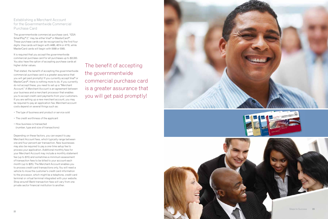

#### Establishing a Merchant Account for the Governmentwide Commercial Purchase Card

The governmentwide commercial purchase card, "GSA SmartPay ® 2," may be either Visa ® or MasterCard ®. These purchase cards can be recognized by the first four digits. Visa cards will begin with 4486, 4614 or 4716, while MasterCard cards will begin with 5568 or 5565.

It is required that you accept the governmentwide commercial purchase card for all purchases up to \$3,000. You also have the option of accepting purchase cards at higher dollar values.

That stated, the benefit of accepting the governmentwide commercial purchase card is a greater assurance that you will get paid promptly! If you currently accept Visa ® or MasterCard ®, there is nothing more to do. If you currently do not accept these, you need to set up a "Merchant Account." A Merchant Account is an agreement between your business and a merchant processor that enables you to accept credit card payments from your customers. If you are setting up a new merchant account, you may be required to pay an application fee. Merchant account costs depend on several things such as:

- The type of business and product or service sold
- The credit worthiness of the applicant
- How business is transacted (number, type and size of transactions)

Depending on these factors, you can expect to pay Merchant Account fees, which typically range between one and four percent per transaction. New businesses may also be required to pay a one-time setup fee to process your application. Additional monthly fees for your Merchant Account may include a monthly statement fee (up to \$15) and sometimes a minimum assessment of transaction fees to be billed to your account each month (up to \$25). The Merchant Account enables you to process credit card transactions only. You will need a vehicle to move the customer's credit card information to the processor, which might be a telephone, credit card terminal or virtual terminal integrated with your website. Shop around! Bank transaction fees will vary from one private sector financial institution to another.

## The benefit of accepting the governmentwide commercial purchase card is a greater assurance that you will get paid promptly!

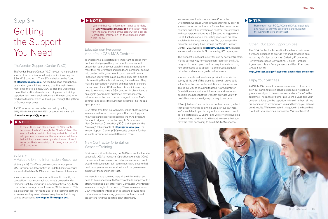We are very excited about our New Contractor Orientation webcast, which provides further support to you and our other contractors. This online presentation contains critical information on contract requirements and your responsibilities as a GSA contracting partner. Helpful links to various marketing resources are also available to help you on your way. You can access the presentation at any time through our Vendor Support Center (VSC) website at **https://vsc.gsa.gov**. Training via webcast is available 24 hours a day, 365 days a year.

The webcast is not exclusively for use by new contractors. It's the perfect way for veteran contractors in the MAS program to brush up on contract requirements or bring new employees up to speed. It also serves as a quick refresher and resource guide and reference.

Your comments and feedback (provided to us via the survey at the end of the presentation) will prove quite valuable for further implementation and improvement. This is our way of ensuring that the New Contractor Orientation webcast is as informative and useful as possible. We hope that the webcast provides you with useful tools as you navigate your way to success.

GSA's job doesn't end with your contract award; in fact, that's really only the beginning. We are your partners. We're available to you throughout your entire contract period (potentially 20 years!) and will strive to develop a close working relationship. We want to ensure that you have the tools necessary to be a GSA MAS success!

#### Other Education Opportunities

The GSA Center for Acquisition Excellence maintains a website designed to provide working knowledge on a vast array of subjects such as: Ordering Procedures, Performance-based Contracting, Blanket Purchase Agreements, Team Arrangements and Best Practices. Check it out at:

**http://interact.gsa.gov/tag/center-acquisition-excellence**.

#### Enjoy Your Success

A GSA MAS contract represents a whole lot of work on both our parts. You're on schedule because we believe in you and want you to be our partner and our "face" to the customer. The range of authorized users is vast, and your contract allows you the opportunity to sell to them all. We are dedicated to working with you and helping you achieve great results. We have created this guide in the hope that it will help you become a successful MAS contractor!

# Step Six

# Getting the Support You Need

#### The Vendor Support Center (VSC)

The Vendor Support Center (VSC) is your main portal and source of information for all major topics involving the GSA MAS contracts. The VSC's website can be found at **https://vsc.gsa.gov**. As you have read through this publication you will have noticed that this website was mentioned multiple times. GSA utilizes this website as one of the locations to note: upcoming events, training opportunities, news, publications and the new contractor readiness toolbox, which will walk you through the getting on Schedules process.



At the VSC you can also access the "Contractor Readiness Toolbox" through the "Toolbox" link. The Vendor Toolbox contains training materials that will help you learn more about the federal market, tools that will help you uncover opportunities and links to resources that can assist you in being a successful MAS contractor.

A VSC representative can be reached by calling (877) 495-4849 or (703) 605-9992, or contacted via email at **vendor.support@gsa.gov**.

#### eLibrary: A Valuable Online Information Resource

eLibrary is GSA's official online source for complete MAS information. Information is updated daily to ensure access to the latest MAS and contract award information.

You can update your own information or find out if your competition has a contract, and what's covered under their contract, by using various search options, e.g., MAS contractor's name, contract number, SIN or keyword. This is also a great tool for you to use to find teaming partners when responding to a customer's requirement. eLibrary can be accessed at **www.gsaelibrary.gsa.gov**.

#### Educate Your Personnel About Your GSA MAS Contract

Your personnel are particularly important because they are the initial people the government customer will encounter regarding your capabilities and capacity to meet their requirements and needs. All personnel coming into contact with government customers will have an impact on your overall sales success. They play a critical role in making the sale and keeping the customer. They must be appropriately trained and motivated to ensure the success of your GSA contract. At a minimum, they need to know you have a GSA contract in place, identify an eligible government customer, provide accurate information to the customer with regard to your MAS contract and assist the customer in completing the sale appropriately.

GSA offers free training, webinars, online chats, regional seminars and more to assist you with expanding your knowledge and expertise regarding the MAS program. Be sure to sign up for the Pathway to Success and New Contractor Orientation (NCO) training under the "Training" tab available at **https://vsc.gsa.gov**. The Vendor Support Center (VSC) website contains further valuable information, newsletters and more.

#### New Contractor Orientation Webcast Training

GSA is committed to helping our MAS contract holders be successful. GSA's Industrial Operations Analysts (IOAs) try to contact every new contractor soon after contract award to discuss contract requirements and ensure that contractor personnel understand what the government expects of them under contract.

We want to make sure you have all the information you need to be a successful MAS contractor. In support of this effort, we periodically offer "New Contractor Orientation" seminars throughout the country. These seminars assist GSA with getting information to you and provide faceto-face interaction among groups of contractors and presenters. And the benefits don't stop there.

#### **TIP:**

Remember: Your PCO, ACO and IOA are available and ready to provide assistance and guidance throughout the life of contract.

#### **NOTE:**

If you find that your information is not up-to-date, visit **www.gsaelibrary.gsa.gov** and select "Help" from the bar at the top of the screen, then click on "Contractor Information" on the right side under "Help Topics."

### **NOTE:**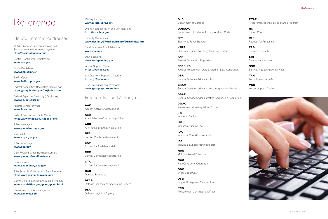# Reference

### Helpful Internet Addresses

ASSIST (Acquisition Streamlining and Standardization Information System) **http://assist.daps.dla.mil/** 

Central Contractor Registration **www.ccr.gov** 

Dun & Bradstreet **www.dnb.com/us/** 

FedBizOpps **www.fedbizopps.gov** 

Federal Acquisition Regulation Home Page **https://acquisition.gov/far/index.html**

Federal Agencies Directory (LSU library) **www.lib.lsu.edu/gov/**

Federal Computer Week **www.fcw.com**

Federal Procurement Data Center **https://www.fpds.gov/fpdsng\_cms/** 

GSA*Advantage!*® **www.gsaadvantage.gov** 

GSA Expo **www.expo.gsa.gov** 

GSA Home Page **www.gsa.gov** 

GSA Regional Small Business Centers **www.gsa.gov/smallbusiness**

GSA eLibrary **www.gsaelibrary.gsa.gov** 

GSA SmartPay® 2 Purchase Card Program **[https://www.smartpay.gsa.gov](https://smartpay.gsa.gov)**

GSAM General Services Acquisition Manual **www.acquisition.gov/gsam/gsam.html** 

Government Executive Magazine **www.govexec.com** 

Militarylife.com **www.militarylife.com/** 

Online Representation and Certifications **http://orca.bpn.gov** 

Security Clearances **www.dss.mil/GW/ShowBinary/DSS/index.html** 

Small Business Administration **www.sba.gov** 

USA Spending **www.usaspending.gov**

Vendor Support Center **https://vsc.gsa.gov** 

72A Quarterly Reporting System **https://72a.gsa.gov** 

GSA State and Local Programs **www.gsa.gov/stateandlocal** 

### Frequently Used Acronyms

**AAC** Agency Activity Address Code

**ACO** Administrative Contracting Officer

**ADR** Alternative Disputes Resolution

**BPA** Blanket Purchase Agreement

**CAV** Contractor Assistance Visit

**CCR** Central Contractor Registration

**CTA** Contractor Team Arrangement

**D&B** Dun and Bradstreet

**DFAS** Defense Finance and Accounting Service

**DLA** Defense Logistics Agency

**DoD** Department of Defense

**DODAAC** Department of Defense Activity Address Code

**EFT** Electronic Funds Transfer

**eSRS** Electronic Subcontracting Reporting System

**FAR** Federal Acquisition Regulation

**FPDS-NG** Federal Procurement Data Systems – Next Generation

**GSA** General Services Administration

**GSAM** General Services Administration Acquisition Manual

**GSAR** General Services Administration Acquisition Regulation

**GWAC** Governmentwide Acquisition Contract

**IFB** Invitation for Bid

**IFF** Industrial Funding Fee

**IOA** Industrial Operations Analyst

**ISR** Individual Subcontracting Report

**MAS** Multiple Award Schedule

**NCO** New Contractor Orientation

**ODC** Other Direct Cost

**OEM** Original Equipment Manufacturer

**PCO** Procurement Contracting Officer **PTAP** Procurement Technical Assistance Program

**RC** Report Card

**RFP** Request for Proposals

**RFQ** Request for Quote

**SIN** Special Item Number

**SSR** Summary Subcontracting Report

**TAA** Trade Agreements Act

**VSC** Vendor Support Center

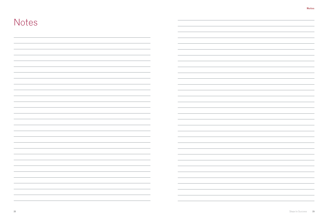| <b>Notes</b>                                                                                                           |                                                                                                                                                                                                                                                                                                                                                                                                                                                                                             |
|------------------------------------------------------------------------------------------------------------------------|---------------------------------------------------------------------------------------------------------------------------------------------------------------------------------------------------------------------------------------------------------------------------------------------------------------------------------------------------------------------------------------------------------------------------------------------------------------------------------------------|
|                                                                                                                        |                                                                                                                                                                                                                                                                                                                                                                                                                                                                                             |
|                                                                                                                        |                                                                                                                                                                                                                                                                                                                                                                                                                                                                                             |
|                                                                                                                        |                                                                                                                                                                                                                                                                                                                                                                                                                                                                                             |
|                                                                                                                        |                                                                                                                                                                                                                                                                                                                                                                                                                                                                                             |
|                                                                                                                        |                                                                                                                                                                                                                                                                                                                                                                                                                                                                                             |
|                                                                                                                        |                                                                                                                                                                                                                                                                                                                                                                                                                                                                                             |
|                                                                                                                        |                                                                                                                                                                                                                                                                                                                                                                                                                                                                                             |
|                                                                                                                        |                                                                                                                                                                                                                                                                                                                                                                                                                                                                                             |
|                                                                                                                        |                                                                                                                                                                                                                                                                                                                                                                                                                                                                                             |
|                                                                                                                        |                                                                                                                                                                                                                                                                                                                                                                                                                                                                                             |
|                                                                                                                        |                                                                                                                                                                                                                                                                                                                                                                                                                                                                                             |
|                                                                                                                        |                                                                                                                                                                                                                                                                                                                                                                                                                                                                                             |
|                                                                                                                        |                                                                                                                                                                                                                                                                                                                                                                                                                                                                                             |
|                                                                                                                        |                                                                                                                                                                                                                                                                                                                                                                                                                                                                                             |
|                                                                                                                        |                                                                                                                                                                                                                                                                                                                                                                                                                                                                                             |
|                                                                                                                        |                                                                                                                                                                                                                                                                                                                                                                                                                                                                                             |
| <u> 1989 - Andrea Santa Andrea Andrea Andrea Andrea Andrea Andrea Andrea Andrea Andrea Andrea Andrea Andrea Andr</u>   | <u> Andreas Andrews Andrews Andrews Andrews Andrews Andrews Andrews Andrews Andrews Andrews Andrews Andrews Andr</u>                                                                                                                                                                                                                                                                                                                                                                        |
| <u> 1989 - Andrea Stadt Britain, amerikansk politik (d. 1989)</u>                                                      |                                                                                                                                                                                                                                                                                                                                                                                                                                                                                             |
|                                                                                                                        |                                                                                                                                                                                                                                                                                                                                                                                                                                                                                             |
|                                                                                                                        |                                                                                                                                                                                                                                                                                                                                                                                                                                                                                             |
| ,我们也不会不会不会不会不会不会不会不会不会不会不会不会不会不会不会不会。""我们的是我们的,我们也不会不会不会不会不会不会。""我们的是我们的,我们也不会不会                                       | <u> Alexandro de la contrada de la contrada de la contrada de la contrada de la contrada de la contrada de la con</u>                                                                                                                                                                                                                                                                                                                                                                       |
| <u> 1989 - Johann Stein, mars an de Brazilian (b. 1989)</u>                                                            | <u> 1989 - Johann Stoff, deutscher Stoffen und der Stoffen und der Stoffen und der Stoffen und der Stoffen und der</u>                                                                                                                                                                                                                                                                                                                                                                      |
| <u> 1989 - Andrea Stationen, Amerikaansk politiker (* 1989)</u>                                                        | <u> The Communication of the Communication of the Communication of the Communication of the Communication of the Co</u><br><u> Alexandro de la contrada de la contrada de la contrada de la contrada de la contrada de la contrada de la co</u>                                                                                                                                                                                                                                             |
| <u> 1989 - Johann Stoff, deutscher Stoffen und der Stoffen und der Stoffen und der Stoffen und der Stoffen und der</u> | <u> 1989 - Johann Stein, mars an de Brazilian (b. 1989)</u>                                                                                                                                                                                                                                                                                                                                                                                                                                 |
|                                                                                                                        | <u> The Communication of the Communication of the Communication of the Communication of the Communication of the Co</u>                                                                                                                                                                                                                                                                                                                                                                     |
| <u> 1989 - Andrea Stadt Britain, fransk politik (d. 1989)</u>                                                          |                                                                                                                                                                                                                                                                                                                                                                                                                                                                                             |
| the contract of the contract of the contract of the contract of the contract of the contract of the contract of        | $\begin{tabular}{c} \multicolumn{2}{c} {\textbf{1}}\\ \multicolumn{2}{c} {\textbf{2}}\\ \multicolumn{2}{c} {\textbf{3}}\\ \multicolumn{2}{c} {\textbf{4}}\\ \multicolumn{2}{c} {\textbf{5}}\\ \multicolumn{2}{c} {\textbf{6}}\\ \multicolumn{2}{c} {\textbf{6}}\\ \multicolumn{2}{c} {\textbf{7}}\\ \multicolumn{2}{c} {\textbf{8}}\\ \multicolumn{2}{c} {\textbf{9}}\\ \multicolumn{2}{c} {\textbf{1}}\\ \multicolumn{2}{c} {\textbf{1}}\\ \multicolumn{2}{c} {\textbf{1}}\\ \multicolumn$ |